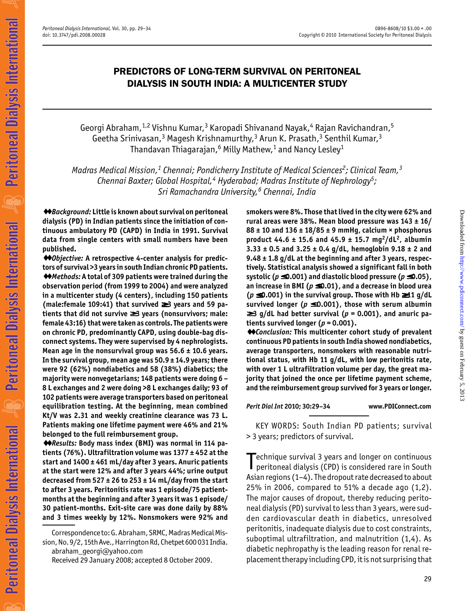# PREDICTORS OF LONG-TERM SURVIVAL ON PERITONEAL DIALYSIS IN SOUTH INDIA: A MULTICENTER STUDY

Georgi Abraham,  $1,2$  Vishnu Kumar,  $3$  Karopadi Shivanand Nayak,  $4$  Rajan Ravichandran,  $5$ Geetha Srinivasan,<sup>3</sup> Magesh Krishnamurthy,<sup>3</sup> Arun K. Prasath,<sup>3</sup> Senthil Kumar,<sup>3</sup> Thandavan Thiagarajan,<sup>6</sup> Milly Mathew,<sup>1</sup> and Nancy Lesley<sup>1</sup>

Madras Medical Mission,<sup>1</sup> Chennai; Pondicherry Institute of Medical Sciences<sup>2</sup>; Clinical Team,<sup>3</sup> Chennai Baxter; Global Hospital,<sup>4</sup> Hyderabad; Madras Institute of Nephrology<sup>5</sup>; Sri Ramachandra University,<sup>6</sup> Chennai, India

♦♦Background: Little is known about survival on peritoneal dialysis (PD) in Indian patients since the initiation of continuous ambulatory PD (CAPD) in India in 1991. Survival data from single centers with small numbers have been published.

♦♦Objective: A retrospective 4-center analysis for predictors of survival >3 years in south Indian chronic PD patients. ♦♦Methods: A total of 309 patients were trained during the observation period (from 1999 to 2004) and were analyzed in a multicenter study (4 centers), including 150 patients (male:female 109:41) that survived ≥≥ 3 years and 59 patients that did not survive ≥≥ 3 years (nonsurvivors; male: female 43:16) that were taken as controls. The patients were on chronic PD, predominantly CAPD, using double-bag disconnect systems. They were supervised by 4 nephrologists. Mean age in the nonsurvival group was  $56.6 \pm 10.6$  years. In the survival group, mean age was 50.9 ± 14.9 years; there were 92 (62%) nondiabetics and 58 (38%) diabetics; the majority were nonvegetarians; 148 patients were doing 6 – 8 L exchanges and 2 were doing >8 L exchanges daily; 93 of 102 patients were average transporters based on peritoneal equilibration testing. At the beginning, mean combined Kt/V was 2.31 and weekly creatinine clearance was 73 L. Patients making one lifetime payment were 46% and 21% belonged to the full reimbursement group.

♦♦Results: Body mass index (BMI) was normal in 114 patients (76%). Ultrafiltration volume was 1377 ± 452 at the start and 1400 ± 461 mL/day after 3 years. Anuric patients at the start were 12% and after 3 years 44%; urine output decreased from 527  $\pm$  26 to 253  $\pm$  14 mL/day from the start to after 3 years. Peritonitis rate was 1 episode/75 patientmonths at the beginning and after 3 years it was 1 episode/ 30 patient-months. Exit-site care was done daily by 88% and 3 times weekly by 12%. Nonsmokers were 92% and

Correspondence to: G. Abraham, SRMC, Madras Medical Mission, No. 9/2, 15th Ave., Harrington Rd, Chetpet 600 031 India. abraham\_georgi@yahoo.com

Received 29 January 2008; accepted 8 October 2009.

smokers were 8%. Those that lived in the city were 62% and rural areas were 38%. Mean blood pressure was  $143 \pm 16/$  $88 \pm 10$  and  $136 \pm 18/85 \pm 9$  mmHg, calcium × phosphorus product 44.6  $\pm$  15.6 and 45.9  $\pm$  15.7 mg<sup>2</sup>/dL<sup>2</sup>, albumin  $3.33 \pm 0.5$  and  $3.25 \pm 0.4$  g/dL, hemoglobin  $9.18 \pm 2$  and 9.48 ± 1.8 g/dL at the beginning and after 3 years, respectively. Statistical analysis showed a significant fall in both systolic ( $p \leq 0.001$ ) and diastolic blood pressure ( $p \leq 0.05$ ), an increase in BMI ( $p \le 0.01$ ), and a decrease in blood urea ( $p \le 0.001$ ) in the survival group. Those with Hb ≥11 g/dL survived longer ( $p \le 0.001$ ), those with serum albumin  $≥$ 3 g/dL had better survival ( $p = 0.001$ ), and anuric patients survived longer ( $p = 0.001$ ).

♦♦Conclusion: This multicenter cohort study of prevalent continuous PD patients in south India showed nondiabetics, average transporters, nonsmokers with reasonable nutritional status, with Hb 11 g/dL, with low peritonitis rate, with over 1 L ultrafiltration volume per day, the great majority that joined the once per lifetime payment scheme, and the reimbursement group survived for 3 years or longer.

Perit Dial Int 2010; 30:29–34 www.PDIConnect.com

KEY WORDS: South Indian PD patients; survival > 3 years; predictors of survival.

Technique survival 3 years and longer on continuous<br>peritoneal dialysis (CPD) is considered rare in South echnique survival 3 years and longer on continuous Asian regions (1–4). The dropout rate decreased to about 25% in 2006, compared to 51% a decade ago (1,2). The major causes of dropout, thereby reducing peritoneal dialysis (PD) survival to less than 3 years, were sudden cardiovascular death in diabetics, unresolved peritonitis, inadequate dialysis due to cost constraints, suboptimal ultrafiltration, and malnutrition (1,4). As diabetic nephropathy is the leading reason for renal replacement therapy including CPD, it is not surprising that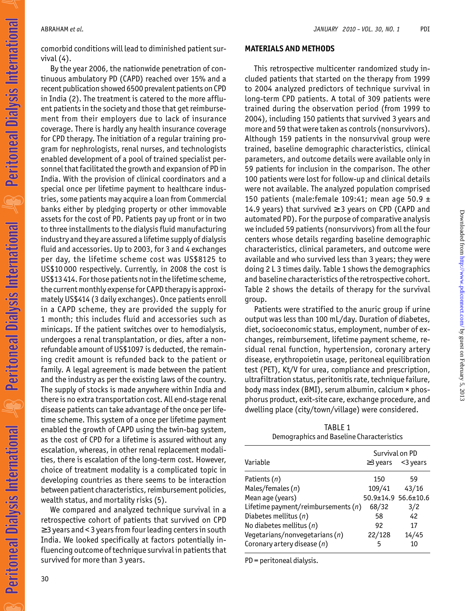comorbid conditions will lead to diminished patient survival (4).

By the year 2006, the nationwide penetration of continuous ambulatory PD (CAPD) reached over 15% and a recent publication showed 6500 prevalent patients on CPD in India (2). The treatment is catered to the more affluent patients in the society and those that get reimbursement from their employers due to lack of insurance coverage. There is hardly any health insurance coverage for CPD therapy. The initiation of a regular training program for nephrologists, renal nurses, and technologists enabled development of a pool of trained specialist personnel that facilitated the growth and expansion of PD in India. With the provision of clinical coordinators and a special once per lifetime payment to healthcare industries, some patients may acquire a loan from Commercial banks either by pledging property or other immovable assets for the cost of PD. Patients pay up front or in two to three installments to the dialysis fluid manufacturing industry and they are assured a lifetime supply of dialysis fluid and accessories. Up to 2003, for 3 and 4 exchanges per day, the lifetime scheme cost was US\$8125 to US\$10 000 respectively. Currently, in 2008 the cost is US\$13 414. For those patients not in the lifetime scheme, the current monthly expense for CAPD therapy is approximately US\$414 (3 daily exchanges). Once patients enroll in a CAPD scheme, they are provided the supply for 1 month; this includes fluid and accessories such as minicaps. If the patient switches over to hemodialysis, undergoes a renal transplantation, or dies, after a nonrefundable amount of US\$1097 is deducted, the remaining credit amount is refunded back to the patient or family. A legal agreement is made between the patient and the industry as per the existing laws of the country. The supply of stocks is made anywhere within India and there is no extra transportation cost. All end-stage renal disease patients can take advantage of the once per lifetime scheme. This system of a once per lifetime payment enabled the growth of CAPD using the twin-bag system, as the cost of CPD for a lifetime is assured without any escalation, whereas, in other renal replacement modalities, there is escalation of the long-term cost. However, choice of treatment modality is a complicated topic in developing countries as there seems to be interaction between patient characteristics, reimbursement policies, wealth status, and mortality risks (5).

We compared and analyzed technique survival in a retrospective cohort of patients that survived on CPD ≥ 3 years and < 3 years from four leading centers in south India. We looked specifically at factors potentially influencing outcome of technique survival in patients that survived for more than 3 years.

#### MATERIALS AND METHODS

This retrospective multicenter randomized study included patients that started on the therapy from 1999 to 2004 analyzed predictors of technique survival in long-term CPD patients. A total of 309 patients were trained during the observation period (from 1999 to 2004), including 150 patients that survived 3 years and more and 59 that were taken as controls (nonsurvivors). Although 159 patients in the nonsurvival group were trained, baseline demographic characteristics, clinical parameters, and outcome details were available only in 59 patients for inclusion in the comparison. The other 100 patients were lost for follow-up and clinical details were not available. The analyzed population comprised 150 patients (male: female 109:41; mean age 50.9  $\pm$ 14.9 years) that survived  $\geq$  3 years on CPD (CAPD and automated PD). For the purpose of comparative analysis we included 59 patients (nonsurvivors) from all the four centers whose details regarding baseline demographic characteristics, clinical parameters, and outcome were available and who survived less than 3 years; they were doing 2 L 3 times daily. Table 1 shows the demographics and baseline characteristics of the retrospective cohort. Table 2 shows the details of therapy for the survival group.

Patients were stratified to the anuric group if urine output was less than 100 mL/day. Duration of diabetes, diet, socioeconomic status, employment, number of exchanges, reimbursement, lifetime payment scheme, residual renal function, hypertension, coronary artery disease, erythropoietin usage, peritoneal equilibration test (PET), Kt/V for urea, compliance and prescription, ultrafiltration status, peritonitis rate, technique failure, body mass index (BMI), serum albumin, calcium × phosphorus product, exit-site care, exchange procedure, and dwelling place (city/town/village) were considered.

TABLE 1 Demographics and Baseline Characteristics

|                                       | Survival on PD      |             |
|---------------------------------------|---------------------|-------------|
| Variable                              | $\geq$ 3 years      | $<$ 3 years |
| Patients (n)                          | 150                 | 59          |
| Males/females (n)                     | 109/41              | 43/16       |
| Mean age (years)                      | 50.9±14.9 56.6±10.6 |             |
| Lifetime payment/reimbursements $(n)$ | 68/32               | 3/2         |
| Diabetes mellitus (n)                 | 58                  | 42          |
| No diabetes mellitus $(n)$            | 92                  | 17          |
| Vegetarians/nonvegetarians(n)         | 22/128              | 14/45       |
| Coronary artery disease (n)           | 5                   | 10          |

PD = peritoneal dialysis.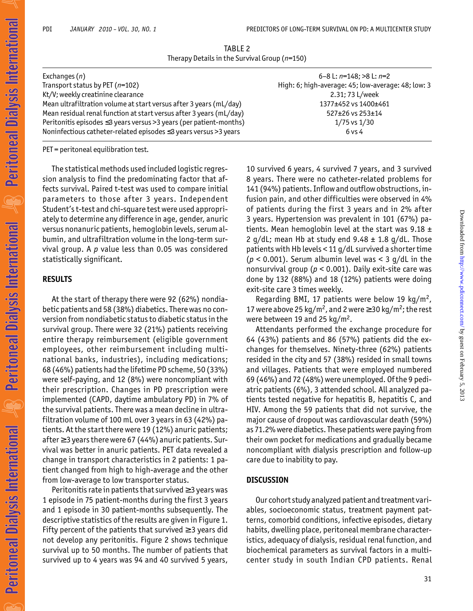TABLE 2 Therapy Details in the Survival Group  $(n=150)$ 

| Exchanges (n)                                                       | 6-8 L: $n=148$ ; >8 L: $n=2$                       |
|---------------------------------------------------------------------|----------------------------------------------------|
| Transport status by PET (n=102)                                     | High: 6; high-average: 45; low-average: 48; low: 3 |
| Kt/V; weekly creatinine clearance                                   | 2.31; 73 L/week                                    |
| Mean ultrafiltration volume at start versus after 3 years (mL/day)  | 1377±452 vs 1400±461                               |
| Mean residual renal function at start versus after 3 years (mL/day) | 527±26 vs 253±14                                   |
| Peritonitis episodes ≤3 years versus >3 years (per patient-months)  | $1/75$ vs $1/30$                                   |
| Noninfectious catheter-related episodes ≤3 years versus >3 years    | $6$ vs 4                                           |
|                                                                     |                                                    |

PET = peritoneal equilibration test.

The statistical methods used included logistic regression analysis to find the predominating factor that affects survival. Paired t-test was used to compare initial parameters to those after 3 years. Independent Student's t-test and chi-square test were used appropriately to determine any difference in age, gender, anuric versus nonanuric patients, hemoglobin levels, serum albumin, and ultrafiltration volume in the long-term survival group. A  $p$  value less than 0.05 was considered statistically significant.

#### RESULTS

At the start of therapy there were 92 (62%) nondiabetic patients and 58 (38%) diabetics. There was no conversion from nondiabetic status to diabetic status in the survival group. There were 32 (21%) patients receiving entire therapy reimbursement (eligible government employees, other reimbursement including multinational banks, industries), including medications; 68 (46%) patients had the lifetime PD scheme, 50 (33%) were self-paying, and 12 (8%) were noncompliant with their prescription. Changes in PD prescription were implemented (CAPD, daytime ambulatory PD) in 7% of the survival patients. There was a mean decline in ultrafiltration volume of 100 mL over 3 years in 63 (42%) patients. At the start there were 19 (12%) anuric patients; after  $\geq$  3 years there were 67 (44%) anuric patients. Survival was better in anuric patients. PET data revealed a change in transport characteristics in 2 patients: 1 patient changed from high to high-average and the other from low-average to low transporter status.

Peritonitis rate in patients that survived ≥ 3 years was 1 episode in 75 patient-months during the first 3 years and 1 episode in 30 patient-months subsequently. The descriptive statistics of the results are given in Figure 1. Fifty percent of the patients that survived  $\geq$  3 years did not develop any peritonitis. Figure 2 shows technique survival up to 50 months. The number of patients that survived up to 4 years was 94 and 40 survived 5 years, 10 survived 6 years, 4 survived 7 years, and 3 survived 8 years. There were no catheter-related problems for 141 (94%) patients. Inflow and outflow obstructions, infusion pain, and other difficulties were observed in 4% of patients during the first 3 years and in 2% after 3 years. Hypertension was prevalent in 101 (67%) patients. Mean hemoglobin level at the start was  $9.18 \pm$ 2  $q/dL$ ; mean Hb at study end  $9.48 \pm 1.8$   $q/dL$ . Those patients with Hb levels < 11 g/dL survived a shorter time ( $p$  < 0.001). Serum albumin level was < 3 q/dL in the nonsurvival group ( $p < 0.001$ ). Daily exit-site care was done by 132 (88%) and 18 (12%) patients were doing exit-site care 3 times weekly.

Regarding BMI, 17 patients were below 19 kg/m<sup>2</sup>, 17 were above 25 kg/m<sup>2</sup>, and 2 were  $\geq$  30 kg/m<sup>2</sup>; the rest were between 19 and 25  $\text{kg/m}^2$ .

Attendants performed the exchange procedure for 64 (43%) patients and 86 (57%) patients did the exchanges for themselves. Ninety-three (62%) patients resided in the city and 57 (38%) resided in small towns and villages. Patients that were employed numbered 69 (46%) and 72 (48%) were unemployed. Of the 9 pediatric patients (6%), 3 attended school. All analyzed patients tested negative for hepatitis B, hepatitis C, and HIV. Among the 59 patients that did not survive, the major cause of dropout was cardiovascular death (59%) as 71.2% were diabetics. These patients were paying from their own pocket for medications and gradually became noncompliant with dialysis prescription and follow-up care due to inability to pay.

### **DISCUSSION**

Our cohort study analyzed patient and treatment variables, socioeconomic status, treatment payment patterns, comorbid conditions, infective episodes, dietary habits, dwelling place, peritoneal membrane characteristics, adequacy of dialysis, residual renal function, and biochemical parameters as survival factors in a multicenter study in south Indian CPD patients. Renal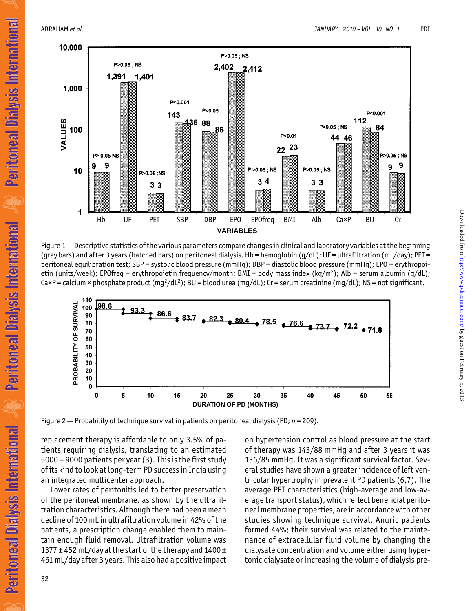Peritoneal Dialysis International

**Peritoneal Dialysis International** 

Peritoneal Dialysis International  $\mathscr{L}_8$ 



Figure 1 — Descriptive statistics of the various parameters compare changes in clinical and laboratory variables at the beginning (gray bars) and after 3 years (hatched bars) on peritoneal dialysis. Hb = hemoglobin (g/dL); UF = ultrafiltration (mL/day); PET = peritoneal equilibration test; SBP = systolic blood pressure (mmHg); DBP = diastolic blood pressure (mmHg); EPO = erythropoietin (units/week); EPOfreq = erythropoietin frequency/month; BMI = body mass index (kq/m<sup>2</sup>); Alb = serum albumin (q/dL); Ca×P = calcium × phosphate product (mq<sup>2</sup>/dL<sup>2</sup>); BU = blood urea (mq/dL); Cr = serum creatinine (mq/dL); NS = not significant.



Figure 2 — Probability of technique survival in patients on peritoneal dialysis (PD;  $n = 209$ ).

replacement therapy is affordable to only 3.5% of patients requiring dialysis, translating to an estimated 5000 – 9000 patients per year (3). This is the first study of its kind to look at long-term PD success in India using an integrated multicenter approach.

Lower rates of peritonitis led to better preservation of the peritoneal membrane, as shown by the ultrafiltration characteristics. Although there had been a mean decline of 100 mL in ultrafiltration volume in 42% of the patients, a prescription change enabled them to maintain enough fluid removal. Ultrafiltration volume was 1377  $\pm$  452 mL/day at the start of the therapy and 1400  $\pm$ 461 mL/day after 3 years. This also had a positive impact on hypertension control as blood pressure at the start of therapy was 143/88 mmHg and after 3 years it was 136/85 mmHg. It was a significant survival factor. Several studies have shown a greater incidence of left ventricular hypertrophy in prevalent PD patients (6,7). The average PET characteristics (high-average and low-average transport status), which reflect beneficial peritoneal membrane properties, are in accordance with other studies showing technique survival. Anuric patients formed 44%; their survival was related to the maintenance of extracellular fluid volume by changing the dialysate concentration and volume either using hypertonic dialysate or increasing the volume of dialysis pre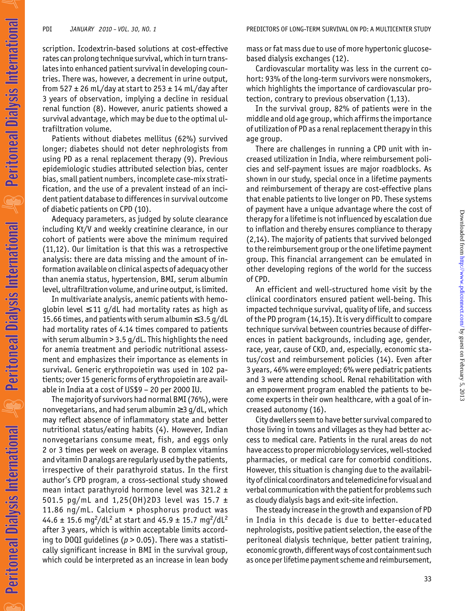Peritoneal Dialysis International

Peritoneal Dialysis International

**Peritoneal Dialysis International AR** 

scription. Icodextrin-based solutions at cost-effective rates can prolong technique survival, which in turn translates into enhanced patient survival in developing countries. There was, however, a decrement in urine output, from 527  $\pm$  26 mL/day at start to 253  $\pm$  14 mL/day after 3 years of observation, implying a decline in residual renal function (8). However, anuric patients showed a survival advantage, which may be due to the optimal ultrafiltration volume.

Patients without diabetes mellitus (62%) survived longer; diabetes should not deter nephrologists from using PD as a renal replacement therapy (9). Previous epidemiologic studies attributed selection bias, center bias, small patient numbers, incomplete case-mix stratification, and the use of a prevalent instead of an incident patient database to differences in survival outcome of diabetic patients on CPD (10).

Adequacy parameters, as judged by solute clearance including Kt/V and weekly creatinine clearance, in our cohort of patients were above the minimum required (11,12). Our limitation is that this was a retrospective analysis: there are data missing and the amount of information available on clinical aspects of adequacy other than anemia status, hypertension, BMI, serum albumin level, ultrafiltration volume, and urine output, is limited.

In multivariate analysis, anemic patients with hemoqlobin level  $\leq 11$  g/dL had mortality rates as high as 15.66 times, and patients with serum albumin ≤ 3.5 g/dL had mortality rates of 4.14 times compared to patients with serum albumin > 3.5 g/dL. This highlights the need for anemia treatment and periodic nutritional assessment and emphasizes their importance as elements in survival. Generic erythropoietin was used in 102 patients; over 15 generic forms of erythropoietin are available in India at a cost of US\$9 – 20 per 2000 IU.

The majority of survivors had normal BMI (76%), were nonvegetarians, and had serum albumin  $\geq$  3 g/dL, which may reflect absence of inflammatory state and better nutritional status/eating habits (4). However, Indian nonvegetarians consume meat, fish, and eggs only 2 or 3 times per week on average. B complex vitamins and vitamin D analogs are regularly used by the patients, irrespective of their parathyroid status. In the first author's CPD program, a cross-sectional study showed mean intact parathyroid hormone level was  $321.2 \pm$ 501.5 pg/mL and 1,25(OH)2D3 level was 15.7  $\pm$ 11.86 ng/mL. Calcium × phosphorus product was 44.6  $\pm$  15.6 mg<sup>2</sup>/dL<sup>2</sup> at start and 45.9  $\pm$  15.7 mg<sup>2</sup>/dL<sup>2</sup> after 3 years, which is within acceptable limits according to DOQI guidelines ( $p > 0.05$ ). There was a statistically significant increase in BMI in the survival group, which could be interpreted as an increase in lean body

mass or fat mass due to use of more hypertonic glucosebased dialysis exchanges (12).

Cardiovascular mortality was less in the current cohort: 93% of the long-term survivors were nonsmokers, which highlights the importance of cardiovascular protection, contrary to previous observation (1,13).

In the survival group, 82% of patients were in the middle and old age group, which affirms the importance of utilization of PD as a renal replacement therapy in this age group.

There are challenges in running a CPD unit with increased utilization in India, where reimbursement policies and self-payment issues are major roadblocks. As shown in our study, special once in a lifetime payments and reimbursement of therapy are cost-effective plans that enable patients to live longer on PD. These systems of payment have a unique advantage where the cost of therapy for a lifetime is not influenced by escalation due to inflation and thereby ensures compliance to therapy (2,14). The majority of patients that survived belonged to the reimbursement group or the one lifetime payment group. This financial arrangement can be emulated in other developing regions of the world for the success of CPD.

An efficient and well-structured home visit by the clinical coordinators ensured patient well-being. This impacted technique survival, quality of life, and success of the PD program (14,15). It is very difficult to compare technique survival between countries because of differences in patient backgrounds, including age, gender, race, year, cause of CKD, and, especially, economic status/cost and reimbursement policies (14). Even after 3 years, 46% were employed; 6% were pediatric patients and 3 were attending school. Renal rehabilitation with an empowerment program enabled the patients to become experts in their own healthcare, with a goal of increased autonomy (16).

City dwellers seem to have better survival compared to those living in towns and villages as they had better access to medical care. Patients in the rural areas do not have access to proper microbiology services, well-stocked pharmacies, or medical care for comorbid conditions. However, this situation is changing due to the availability of clinical coordinators and telemedicine for visual and verbal communication with the patient for problems such as cloudy dialysis bags and exit-site infection.

The steady increase in the growth and expansion of PD in India in this decade is due to better-educated nephrologists, positive patient selection, the ease of the peritoneal dialysis technique, better patient training, economic growth, different ways of cost containment such as once per lifetime payment scheme and reimbursement,